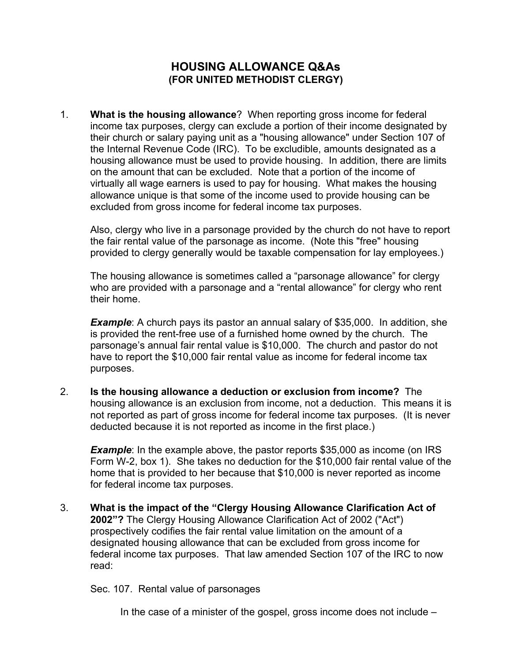#### **HOUSING ALLOWANCE Q&As (FOR UNITED METHODIST CLERGY)**

1. **What is the housing allowance**? When reporting gross income for federal income tax purposes, clergy can exclude a portion of their income designated by their church or salary paying unit as a "housing allowance" under Section 107 of the Internal Revenue Code (IRC). To be excludible, amounts designated as a housing allowance must be used to provide housing. In addition, there are limits on the amount that can be excluded. Note that a portion of the income of virtually all wage earners is used to pay for housing. What makes the housing allowance unique is that some of the income used to provide housing can be excluded from gross income for federal income tax purposes.

Also, clergy who live in a parsonage provided by the church do not have to report the fair rental value of the parsonage as income. (Note this "free" housing provided to clergy generally would be taxable compensation for lay employees.)

The housing allowance is sometimes called a "parsonage allowance" for clergy who are provided with a parsonage and a "rental allowance" for clergy who rent their home.

**Example**: A church pays its pastor an annual salary of \$35,000. In addition, she is provided the rent-free use of a furnished home owned by the church. The parsonage's annual fair rental value is \$10,000. The church and pastor do not have to report the \$10,000 fair rental value as income for federal income tax purposes.

2. **Is the housing allowance a deduction or exclusion from income?** The housing allowance is an exclusion from income, not a deduction. This means it is not reported as part of gross income for federal income tax purposes. (It is never deducted because it is not reported as income in the first place.)

**Example**: In the example above, the pastor reports \$35,000 as income (on IRS Form W-2, box 1). She takes no deduction for the \$10,000 fair rental value of the home that is provided to her because that \$10,000 is never reported as income for federal income tax purposes.

3. **What is the impact of the "Clergy Housing Allowance Clarification Act of 2002"?** The Clergy Housing Allowance Clarification Act of 2002 ("Act") prospectively codifies the fair rental value limitation on the amount of a designated housing allowance that can be excluded from gross income for federal income tax purposes. That law amended Section 107 of the IRC to now read:

Sec. 107. Rental value of parsonages

In the case of a minister of the gospel, gross income does not include –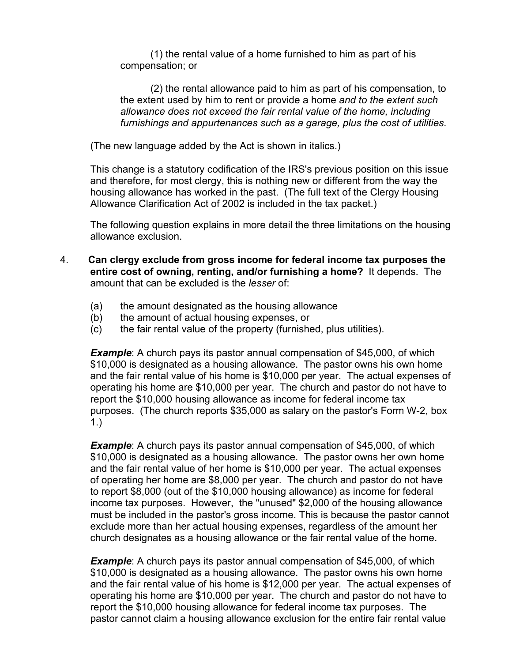(1) the rental value of a home furnished to him as part of his compensation; or

(2) the rental allowance paid to him as part of his compensation, to the extent used by him to rent or provide a home *and to the extent such allowance does not exceed the fair rental value of the home, including furnishings and appurtenances such as a garage, plus the cost of utilities.*

(The new language added by the Act is shown in italics.)

This change is a statutory codification of the IRS's previous position on this issue and therefore, for most clergy, this is nothing new or different from the way the housing allowance has worked in the past. (The full text of the Clergy Housing Allowance Clarification Act of 2002 is included in the tax packet.)

The following question explains in more detail the three limitations on the housing allowance exclusion.

- 4. **Can clergy exclude from gross income for federal income tax purposes the entire cost of owning, renting, and/or furnishing a home?** It depends. The amount that can be excluded is the *lesser* of:
	- (a) the amount designated as the housing allowance
	- (b) the amount of actual housing expenses, or
	- (c) the fair rental value of the property (furnished, plus utilities).

**Example:** A church pays its pastor annual compensation of \$45,000, of which \$10,000 is designated as a housing allowance. The pastor owns his own home and the fair rental value of his home is \$10,000 per year. The actual expenses of operating his home are \$10,000 per year. The church and pastor do not have to report the \$10,000 housing allowance as income for federal income tax purposes. (The church reports \$35,000 as salary on the pastor's Form W-2, box 1.)

**Example**: A church pays its pastor annual compensation of \$45,000, of which \$10,000 is designated as a housing allowance. The pastor owns her own home and the fair rental value of her home is \$10,000 per year. The actual expenses of operating her home are \$8,000 per year. The church and pastor do not have to report \$8,000 (out of the \$10,000 housing allowance) as income for federal income tax purposes. However, the "unused" \$2,000 of the housing allowance must be included in the pastor's gross income. This is because the pastor cannot exclude more than her actual housing expenses, regardless of the amount her church designates as a housing allowance or the fair rental value of the home.

*Example*: A church pays its pastor annual compensation of \$45,000, of which \$10,000 is designated as a housing allowance. The pastor owns his own home and the fair rental value of his home is \$12,000 per year. The actual expenses of operating his home are \$10,000 per year. The church and pastor do not have to report the \$10,000 housing allowance for federal income tax purposes. The pastor cannot claim a housing allowance exclusion for the entire fair rental value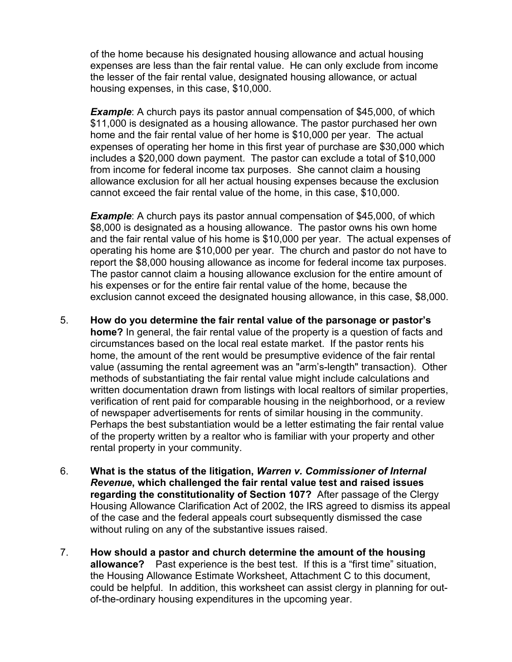of the home because his designated housing allowance and actual housing expenses are less than the fair rental value. He can only exclude from income the lesser of the fair rental value, designated housing allowance, or actual housing expenses, in this case, \$10,000.

**Example:** A church pays its pastor annual compensation of \$45,000, of which \$11,000 is designated as a housing allowance. The pastor purchased her own home and the fair rental value of her home is \$10,000 per year. The actual expenses of operating her home in this first year of purchase are \$30,000 which includes a \$20,000 down payment. The pastor can exclude a total of \$10,000 from income for federal income tax purposes. She cannot claim a housing allowance exclusion for all her actual housing expenses because the exclusion cannot exceed the fair rental value of the home, in this case, \$10,000.

**Example**: A church pays its pastor annual compensation of \$45,000, of which \$8,000 is designated as a housing allowance. The pastor owns his own home and the fair rental value of his home is \$10,000 per year. The actual expenses of operating his home are \$10,000 per year. The church and pastor do not have to report the \$8,000 housing allowance as income for federal income tax purposes. The pastor cannot claim a housing allowance exclusion for the entire amount of his expenses or for the entire fair rental value of the home, because the exclusion cannot exceed the designated housing allowance, in this case, \$8,000.

- 5. **How do you determine the fair rental value of the parsonage or pastor's home?** In general, the fair rental value of the property is a question of facts and circumstances based on the local real estate market. If the pastor rents his home, the amount of the rent would be presumptive evidence of the fair rental value (assuming the rental agreement was an "arm's-length" transaction). Other methods of substantiating the fair rental value might include calculations and written documentation drawn from listings with local realtors of similar properties, verification of rent paid for comparable housing in the neighborhood, or a review of newspaper advertisements for rents of similar housing in the community. Perhaps the best substantiation would be a letter estimating the fair rental value of the property written by a realtor who is familiar with your property and other rental property in your community.
- 6. **What is the status of the litigation,** *Warren v. Commissioner of Internal Revenue***, which challenged the fair rental value test and raised issues regarding the constitutionality of Section 107?** After passage of the Clergy Housing Allowance Clarification Act of 2002, the IRS agreed to dismiss its appeal of the case and the federal appeals court subsequently dismissed the case without ruling on any of the substantive issues raised.
- 7. **How should a pastor and church determine the amount of the housing allowance?** Past experience is the best test. If this is a "first time" situation, the Housing Allowance Estimate Worksheet, Attachment C to this document, could be helpful. In addition, this worksheet can assist clergy in planning for outof-the-ordinary housing expenditures in the upcoming year.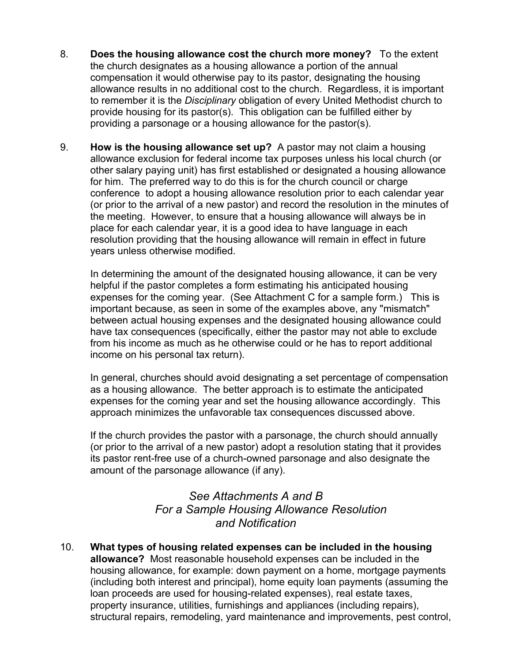- 8. **Does the housing allowance cost the church more money?** To the extent the church designates as a housing allowance a portion of the annual compensation it would otherwise pay to its pastor, designating the housing allowance results in no additional cost to the church. Regardless, it is important to remember it is the *Disciplinary* obligation of every United Methodist church to provide housing for its pastor(s). This obligation can be fulfilled either by providing a parsonage or a housing allowance for the pastor(s).
- 9. **How is the housing allowance set up?** A pastor may not claim a housing allowance exclusion for federal income tax purposes unless his local church (or other salary paying unit) has first established or designated a housing allowance for him. The preferred way to do this is for the church council or charge conference to adopt a housing allowance resolution prior to each calendar year (or prior to the arrival of a new pastor) and record the resolution in the minutes of the meeting. However, to ensure that a housing allowance will always be in place for each calendar year, it is a good idea to have language in each resolution providing that the housing allowance will remain in effect in future years unless otherwise modified.

In determining the amount of the designated housing allowance, it can be very helpful if the pastor completes a form estimating his anticipated housing expenses for the coming year. (See Attachment C for a sample form.) This is important because, as seen in some of the examples above, any "mismatch" between actual housing expenses and the designated housing allowance could have tax consequences (specifically, either the pastor may not able to exclude from his income as much as he otherwise could or he has to report additional income on his personal tax return).

In general, churches should avoid designating a set percentage of compensation as a housing allowance. The better approach is to estimate the anticipated expenses for the coming year and set the housing allowance accordingly. This approach minimizes the unfavorable tax consequences discussed above.

If the church provides the pastor with a parsonage, the church should annually (or prior to the arrival of a new pastor) adopt a resolution stating that it provides its pastor rent-free use of a church-owned parsonage and also designate the amount of the parsonage allowance (if any).

### *See Attachments A and B For a Sample Housing Allowance Resolution and Notification*

10. **What types of housing related expenses can be included in the housing allowance?** Most reasonable household expenses can be included in the housing allowance, for example: down payment on a home, mortgage payments (including both interest and principal), home equity loan payments (assuming the loan proceeds are used for housing-related expenses), real estate taxes, property insurance, utilities, furnishings and appliances (including repairs), structural repairs, remodeling, yard maintenance and improvements, pest control,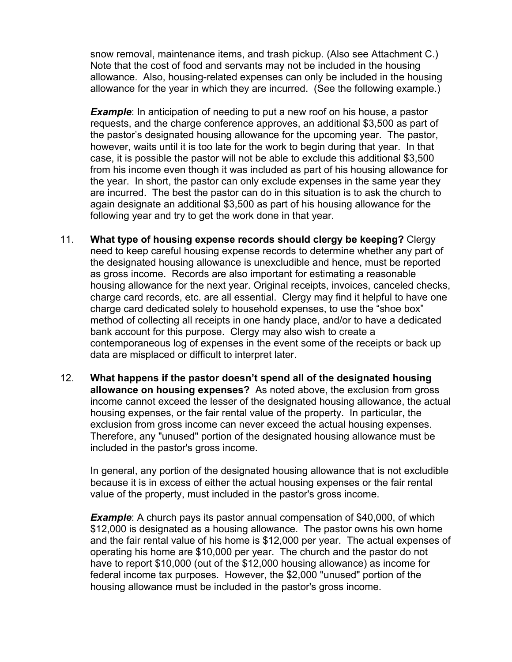snow removal, maintenance items, and trash pickup. (Also see Attachment C.) Note that the cost of food and servants may not be included in the housing allowance. Also, housing-related expenses can only be included in the housing allowance for the year in which they are incurred. (See the following example.)

*Example*: In anticipation of needing to put a new roof on his house, a pastor requests, and the charge conference approves, an additional \$3,500 as part of the pastor's designated housing allowance for the upcoming year. The pastor, however, waits until it is too late for the work to begin during that year. In that case, it is possible the pastor will not be able to exclude this additional \$3,500 from his income even though it was included as part of his housing allowance for the year. In short, the pastor can only exclude expenses in the same year they are incurred. The best the pastor can do in this situation is to ask the church to again designate an additional \$3,500 as part of his housing allowance for the following year and try to get the work done in that year.

- 11. **What type of housing expense records should clergy be keeping?** Clergy need to keep careful housing expense records to determine whether any part of the designated housing allowance is unexcludible and hence, must be reported as gross income. Records are also important for estimating a reasonable housing allowance for the next year. Original receipts, invoices, canceled checks, charge card records, etc. are all essential. Clergy may find it helpful to have one charge card dedicated solely to household expenses, to use the "shoe box" method of collecting all receipts in one handy place, and/or to have a dedicated bank account for this purpose. Clergy may also wish to create a contemporaneous log of expenses in the event some of the receipts or back up data are misplaced or difficult to interpret later.
- 12. **What happens if the pastor doesn't spend all of the designated housing allowance on housing expenses?** As noted above, the exclusion from gross income cannot exceed the lesser of the designated housing allowance, the actual housing expenses, or the fair rental value of the property. In particular, the exclusion from gross income can never exceed the actual housing expenses. Therefore, any "unused" portion of the designated housing allowance must be included in the pastor's gross income.

In general, any portion of the designated housing allowance that is not excludible because it is in excess of either the actual housing expenses or the fair rental value of the property, must included in the pastor's gross income.

*Example*: A church pays its pastor annual compensation of \$40,000, of which \$12,000 is designated as a housing allowance. The pastor owns his own home and the fair rental value of his home is \$12,000 per year. The actual expenses of operating his home are \$10,000 per year. The church and the pastor do not have to report \$10,000 (out of the \$12,000 housing allowance) as income for federal income tax purposes. However, the \$2,000 "unused" portion of the housing allowance must be included in the pastor's gross income.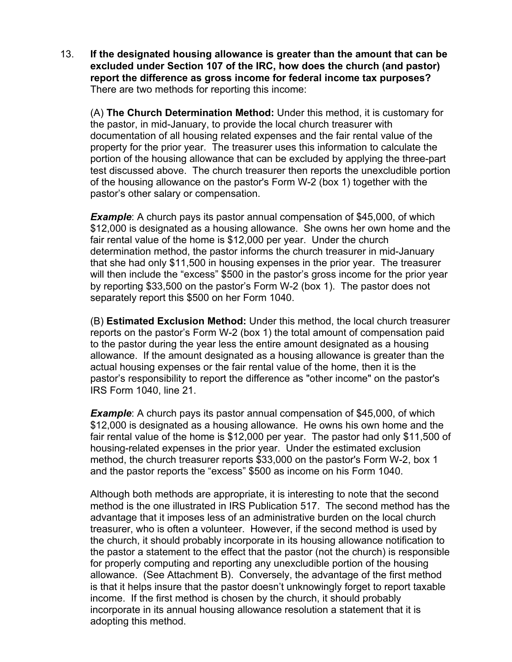13. **If the designated housing allowance is greater than the amount that can be excluded under Section 107 of the IRC, how does the church (and pastor) report the difference as gross income for federal income tax purposes?**  There are two methods for reporting this income:

(A) **The Church Determination Method:** Under this method, it is customary for the pastor, in mid-January, to provide the local church treasurer with documentation of all housing related expenses and the fair rental value of the property for the prior year. The treasurer uses this information to calculate the portion of the housing allowance that can be excluded by applying the three-part test discussed above. The church treasurer then reports the unexcludible portion of the housing allowance on the pastor's Form W-2 (box 1) together with the pastor's other salary or compensation.

**Example**: A church pays its pastor annual compensation of \$45,000, of which \$12,000 is designated as a housing allowance. She owns her own home and the fair rental value of the home is \$12,000 per year. Under the church determination method, the pastor informs the church treasurer in mid-January that she had only \$11,500 in housing expenses in the prior year. The treasurer will then include the "excess" \$500 in the pastor's gross income for the prior year by reporting \$33,500 on the pastor's Form W-2 (box 1). The pastor does not separately report this \$500 on her Form 1040.

(B) **Estimated Exclusion Method:** Under this method, the local church treasurer reports on the pastor's Form W-2 (box 1) the total amount of compensation paid to the pastor during the year less the entire amount designated as a housing allowance. If the amount designated as a housing allowance is greater than the actual housing expenses or the fair rental value of the home, then it is the pastor's responsibility to report the difference as "other income" on the pastor's IRS Form 1040, line 21.

**Example**: A church pays its pastor annual compensation of \$45,000, of which \$12,000 is designated as a housing allowance. He owns his own home and the fair rental value of the home is \$12,000 per year. The pastor had only \$11,500 of housing-related expenses in the prior year. Under the estimated exclusion method, the church treasurer reports \$33,000 on the pastor's Form W-2, box 1 and the pastor reports the "excess" \$500 as income on his Form 1040.

Although both methods are appropriate, it is interesting to note that the second method is the one illustrated in IRS Publication 517. The second method has the advantage that it imposes less of an administrative burden on the local church treasurer, who is often a volunteer. However, if the second method is used by the church, it should probably incorporate in its housing allowance notification to the pastor a statement to the effect that the pastor (not the church) is responsible for properly computing and reporting any unexcludible portion of the housing allowance. (See Attachment B). Conversely, the advantage of the first method is that it helps insure that the pastor doesn't unknowingly forget to report taxable income. If the first method is chosen by the church, it should probably incorporate in its annual housing allowance resolution a statement that it is adopting this method.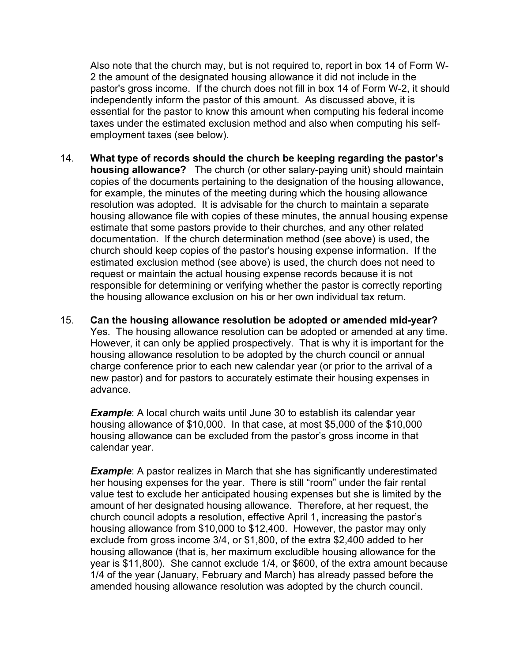Also note that the church may, but is not required to, report in box 14 of Form W-2 the amount of the designated housing allowance it did not include in the pastor's gross income. If the church does not fill in box 14 of Form W-2, it should independently inform the pastor of this amount. As discussed above, it is essential for the pastor to know this amount when computing his federal income taxes under the estimated exclusion method and also when computing his selfemployment taxes (see below).

- 14. **What type of records should the church be keeping regarding the pastor's housing allowance?** The church (or other salary-paying unit) should maintain copies of the documents pertaining to the designation of the housing allowance, for example, the minutes of the meeting during which the housing allowance resolution was adopted. It is advisable for the church to maintain a separate housing allowance file with copies of these minutes, the annual housing expense estimate that some pastors provide to their churches, and any other related documentation. If the church determination method (see above) is used, the church should keep copies of the pastor's housing expense information. If the estimated exclusion method (see above) is used, the church does not need to request or maintain the actual housing expense records because it is not responsible for determining or verifying whether the pastor is correctly reporting the housing allowance exclusion on his or her own individual tax return.
- 15. **Can the housing allowance resolution be adopted or amended mid-year?** Yes. The housing allowance resolution can be adopted or amended at any time. However, it can only be applied prospectively. That is why it is important for the housing allowance resolution to be adopted by the church council or annual charge conference prior to each new calendar year (or prior to the arrival of a new pastor) and for pastors to accurately estimate their housing expenses in advance.

**Example**: A local church waits until June 30 to establish its calendar year housing allowance of \$10,000. In that case, at most \$5,000 of the \$10,000 housing allowance can be excluded from the pastor's gross income in that calendar year.

**Example:** A pastor realizes in March that she has significantly underestimated her housing expenses for the year. There is still "room" under the fair rental value test to exclude her anticipated housing expenses but she is limited by the amount of her designated housing allowance. Therefore, at her request, the church council adopts a resolution, effective April 1, increasing the pastor's housing allowance from \$10,000 to \$12,400. However, the pastor may only exclude from gross income 3/4, or \$1,800, of the extra \$2,400 added to her housing allowance (that is, her maximum excludible housing allowance for the year is \$11,800). She cannot exclude 1/4, or \$600, of the extra amount because 1/4 of the year (January, February and March) has already passed before the amended housing allowance resolution was adopted by the church council.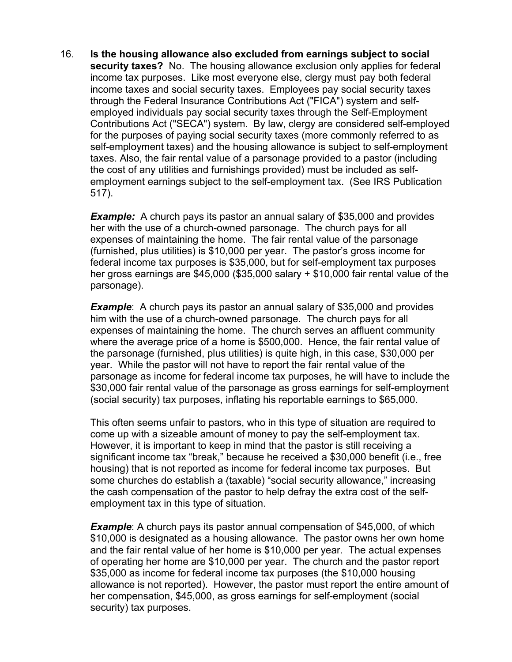16. **Is the housing allowance also excluded from earnings subject to social security taxes?** No. The housing allowance exclusion only applies for federal income tax purposes. Like most everyone else, clergy must pay both federal income taxes and social security taxes. Employees pay social security taxes through the Federal Insurance Contributions Act ("FICA") system and selfemployed individuals pay social security taxes through the Self-Employment Contributions Act ("SECA") system. By law, clergy are considered self-employed for the purposes of paying social security taxes (more commonly referred to as self-employment taxes) and the housing allowance is subject to self-employment taxes. Also, the fair rental value of a parsonage provided to a pastor (including the cost of any utilities and furnishings provided) must be included as selfemployment earnings subject to the self-employment tax. (See IRS Publication 517).

**Example:** A church pays its pastor an annual salary of \$35,000 and provides her with the use of a church-owned parsonage. The church pays for all expenses of maintaining the home. The fair rental value of the parsonage (furnished, plus utilities) is \$10,000 per year. The pastor's gross income for federal income tax purposes is \$35,000, but for self-employment tax purposes her gross earnings are \$45,000 (\$35,000 salary + \$10,000 fair rental value of the parsonage).

*Example*: A church pays its pastor an annual salary of \$35,000 and provides him with the use of a church-owned parsonage. The church pays for all expenses of maintaining the home.The church serves an affluent community where the average price of a home is \$500,000. Hence, the fair rental value of the parsonage (furnished, plus utilities) is quite high, in this case, \$30,000 per year. While the pastor will not have to report the fair rental value of the parsonage as income for federal income tax purposes, he will have to include the \$30,000 fair rental value of the parsonage as gross earnings for self-employment (social security) tax purposes, inflating his reportable earnings to \$65,000.

This often seems unfair to pastors, who in this type of situation are required to come up with a sizeable amount of money to pay the self-employment tax. However, it is important to keep in mind that the pastor is still receiving a significant income tax "break," because he received a \$30,000 benefit (i.e., free housing) that is not reported as income for federal income tax purposes. But some churches do establish a (taxable) "social security allowance," increasing the cash compensation of the pastor to help defray the extra cost of the selfemployment tax in this type of situation.

*Example*: A church pays its pastor annual compensation of \$45,000, of which \$10,000 is designated as a housing allowance. The pastor owns her own home and the fair rental value of her home is \$10,000 per year. The actual expenses of operating her home are \$10,000 per year. The church and the pastor report \$35,000 as income for federal income tax purposes (the \$10,000 housing allowance is not reported). However, the pastor must report the entire amount of her compensation, \$45,000, as gross earnings for self-employment (social security) tax purposes.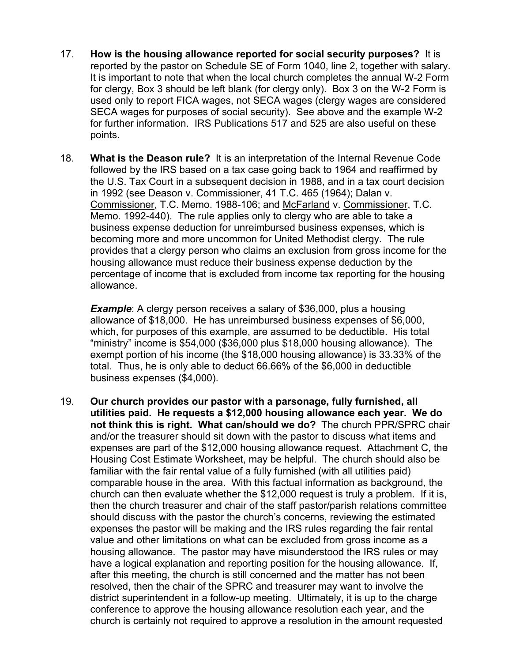- 17. **How is the housing allowance reported for social security purposes?** It is reported by the pastor on Schedule SE of Form 1040, line 2, together with salary. It is important to note that when the local church completes the annual W-2 Form for clergy, Box 3 should be left blank (for clergy only). Box 3 on the W-2 Form is used only to report FICA wages, not SECA wages (clergy wages are considered SECA wages for purposes of social security). See above and the example W-2 for further information. IRS Publications 517 and 525 are also useful on these points.
- 18. **What is the Deason rule?** It is an interpretation of the Internal Revenue Code followed by the IRS based on a tax case going back to 1964 and reaffirmed by the U.S. Tax Court in a subsequent decision in 1988, and in a tax court decision in 1992 (see Deason v. Commissioner, 41 T.C. 465 (1964); Dalan v. Commissioner, T.C. Memo. 1988-106; and McFarland v. Commissioner, T.C. Memo. 1992-440). The rule applies only to clergy who are able to take a business expense deduction for unreimbursed business expenses, which is becoming more and more uncommon for United Methodist clergy. The rule provides that a clergy person who claims an exclusion from gross income for the housing allowance must reduce their business expense deduction by the percentage of income that is excluded from income tax reporting for the housing allowance.

**Example**: A clergy person receives a salary of \$36,000, plus a housing allowance of \$18,000. He has unreimbursed business expenses of \$6,000, which, for purposes of this example, are assumed to be deductible. His total "ministry" income is \$54,000 (\$36,000 plus \$18,000 housing allowance). The exempt portion of his income (the \$18,000 housing allowance) is 33.33% of the total. Thus, he is only able to deduct 66.66% of the \$6,000 in deductible business expenses (\$4,000).

19. **Our church provides our pastor with a parsonage, fully furnished, all utilities paid. He requests a \$12,000 housing allowance each year. We do not think this is right. What can/should we do?** The church PPR/SPRC chair and/or the treasurer should sit down with the pastor to discuss what items and expenses are part of the \$12,000 housing allowance request. Attachment C, the Housing Cost Estimate Worksheet, may be helpful. The church should also be familiar with the fair rental value of a fully furnished (with all utilities paid) comparable house in the area. With this factual information as background, the church can then evaluate whether the \$12,000 request is truly a problem. If it is, then the church treasurer and chair of the staff pastor/parish relations committee should discuss with the pastor the church's concerns, reviewing the estimated expenses the pastor will be making and the IRS rules regarding the fair rental value and other limitations on what can be excluded from gross income as a housing allowance. The pastor may have misunderstood the IRS rules or may have a logical explanation and reporting position for the housing allowance. If, after this meeting, the church is still concerned and the matter has not been resolved, then the chair of the SPRC and treasurer may want to involve the district superintendent in a follow-up meeting. Ultimately, it is up to the charge conference to approve the housing allowance resolution each year, and the church is certainly not required to approve a resolution in the amount requested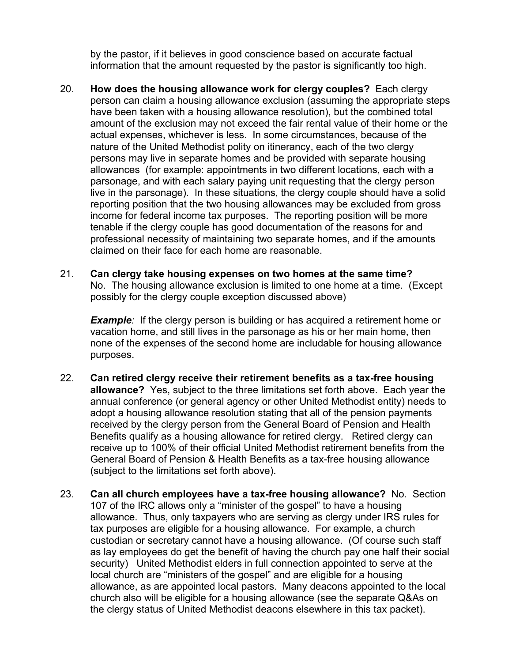by the pastor, if it believes in good conscience based on accurate factual information that the amount requested by the pastor is significantly too high.

- 20. **How does the housing allowance work for clergy couples?** Each clergy person can claim a housing allowance exclusion (assuming the appropriate steps have been taken with a housing allowance resolution), but the combined total amount of the exclusion may not exceed the fair rental value of their home or the actual expenses, whichever is less. In some circumstances, because of the nature of the United Methodist polity on itinerancy, each of the two clergy persons may live in separate homes and be provided with separate housing allowances (for example: appointments in two different locations, each with a parsonage, and with each salary paying unit requesting that the clergy person live in the parsonage). In these situations, the clergy couple should have a solid reporting position that the two housing allowances may be excluded from gross income for federal income tax purposes. The reporting position will be more tenable if the clergy couple has good documentation of the reasons for and professional necessity of maintaining two separate homes, and if the amounts claimed on their face for each home are reasonable.
- 21. **Can clergy take housing expenses on two homes at the same time?**  No. The housing allowance exclusion is limited to one home at a time. (Except possibly for the clergy couple exception discussed above)

*Example*: If the clergy person is building or has acquired a retirement home or vacation home, and still lives in the parsonage as his or her main home, then none of the expenses of the second home are includable for housing allowance purposes.

- 22. **Can retired clergy receive their retirement benefits as a tax-free housing allowance?** Yes, subject to the three limitations set forth above. Each year the annual conference (or general agency or other United Methodist entity) needs to adopt a housing allowance resolution stating that all of the pension payments received by the clergy person from the General Board of Pension and Health Benefits qualify as a housing allowance for retired clergy. Retired clergy can receive up to 100% of their official United Methodist retirement benefits from the General Board of Pension & Health Benefits as a tax-free housing allowance (subject to the limitations set forth above).
- 23. **Can all church employees have a tax-free housing allowance?** No. Section 107 of the IRC allows only a "minister of the gospel" to have a housing allowance. Thus, only taxpayers who are serving as clergy under IRS rules for tax purposes are eligible for a housing allowance. For example, a church custodian or secretary cannot have a housing allowance. (Of course such staff as lay employees do get the benefit of having the church pay one half their social security) United Methodist elders in full connection appointed to serve at the local church are "ministers of the gospel" and are eligible for a housing allowance, as are appointed local pastors. Many deacons appointed to the local church also will be eligible for a housing allowance (see the separate Q&As on the clergy status of United Methodist deacons elsewhere in this tax packet).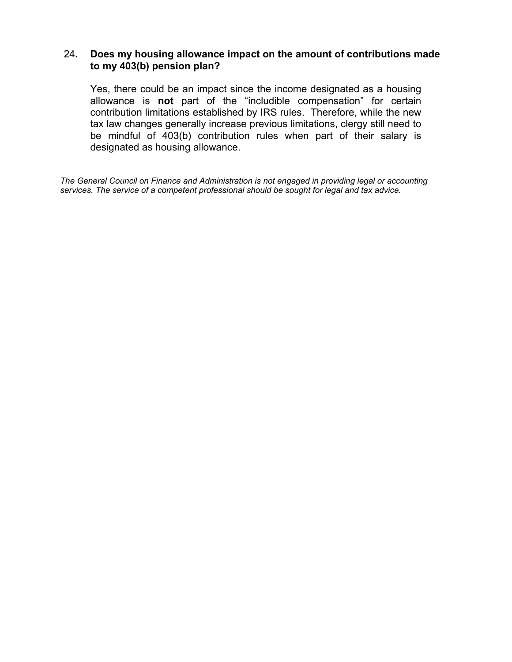#### 24**. Does my housing allowance impact on the amount of contributions made to my 403(b) pension plan?**

Yes, there could be an impact since the income designated as a housing allowance is **not** part of the "includible compensation" for certain contribution limitations established by IRS rules. Therefore, while the new tax law changes generally increase previous limitations, clergy still need to be mindful of 403(b) contribution rules when part of their salary is designated as housing allowance.

*The General Council on Finance and Administration is not engaged in providing legal or accounting services. The service of a competent professional should be sought for legal and tax advice.*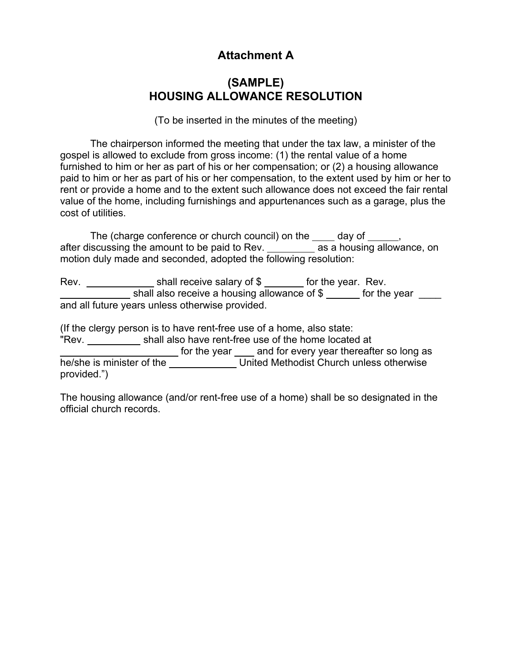# **Attachment A**

### **(SAMPLE) HOUSING ALLOWANCE RESOLUTION**

(To be inserted in the minutes of the meeting)

 The chairperson informed the meeting that under the tax law, a minister of the gospel is allowed to exclude from gross income: (1) the rental value of a home furnished to him or her as part of his or her compensation; or (2) a housing allowance paid to him or her as part of his or her compensation, to the extent used by him or her to rent or provide a home and to the extent such allowance does not exceed the fair rental value of the home, including furnishings and appurtenances such as a garage, plus the cost of utilities.

The (charge conference or church council) on the day of , after discussing the amount to be paid to Rev. as a housing allowance, on motion duly made and seconded, adopted the following resolution:

Rev. shall receive salary of \$ for the year. Rev. shall also receive a housing allowance of \$ \_\_\_\_\_ for the year \_\_\_\_ and all future years unless otherwise provided.

(If the clergy person is to have rent-free use of a home, also state: "Rev. shall also have rent-free use of the home located at for the year and for every year thereafter so long as he/she is minister of the United Methodist Church unless otherwise provided.")

The housing allowance (and/or rent-free use of a home) shall be so designated in the official church records.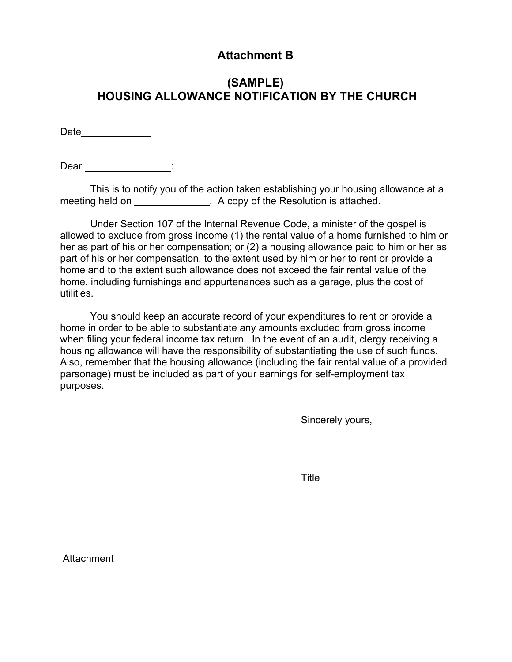## **Attachment B**

## **(SAMPLE) HOUSING ALLOWANCE NOTIFICATION BY THE CHURCH**

Date

Dear : :

 This is to notify you of the action taken establishing your housing allowance at a meeting held on \_\_\_\_\_\_\_\_\_\_\_\_\_\_\_\_\_\_. A copy of the Resolution is attached.

 Under Section 107 of the Internal Revenue Code, a minister of the gospel is allowed to exclude from gross income (1) the rental value of a home furnished to him or her as part of his or her compensation; or (2) a housing allowance paid to him or her as part of his or her compensation, to the extent used by him or her to rent or provide a home and to the extent such allowance does not exceed the fair rental value of the home, including furnishings and appurtenances such as a garage, plus the cost of utilities.

 You should keep an accurate record of your expenditures to rent or provide a home in order to be able to substantiate any amounts excluded from gross income when filing your federal income tax return. In the event of an audit, clergy receiving a housing allowance will have the responsibility of substantiating the use of such funds. Also, remember that the housing allowance (including the fair rental value of a provided parsonage) must be included as part of your earnings for self-employment tax purposes.

Sincerely yours,

**Title The Community of Community Community** 

Attachment